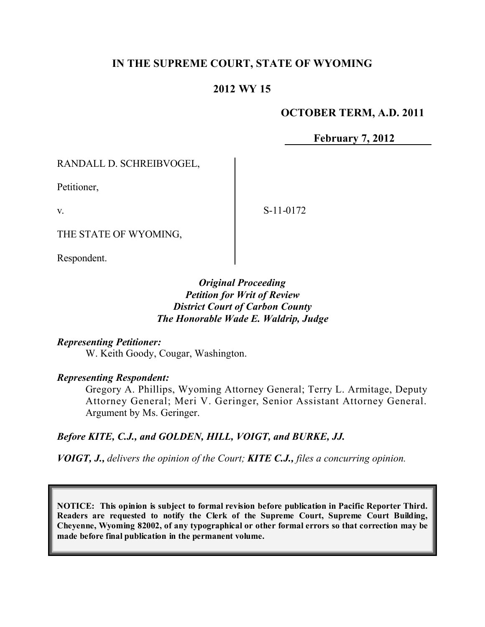# **IN THE SUPREME COURT, STATE OF WYOMING**

# **2012 WY 15**

#### **OCTOBER TERM, A.D. 2011**

**February 7, 2012**

RANDALL D. SCHREIBVOGEL,

THE STATE OF WYOMING,

Petitioner,

v.

Respondent.

## *Original Proceeding Petition for Writ of Review District Court of Carbon County The Honorable Wade E. Waldrip, Judge*

*Representing Petitioner:*

W. Keith Goody, Cougar, Washington.

*Representing Respondent:*

Gregory A. Phillips, Wyoming Attorney General; Terry L. Armitage, Deputy Attorney General; Meri V. Geringer, Senior Assistant Attorney General. Argument by Ms. Geringer.

## *Before KITE, C.J., and GOLDEN, HILL, VOIGT, and BURKE, JJ.*

*VOIGT, J., delivers the opinion of the Court; KITE C.J., files a concurring opinion.*

**NOTICE: This opinion is subject to formal revision before publication in Pacific Reporter Third. Readers are requested to notify the Clerk of the Supreme Court, Supreme Court Building, Cheyenne, Wyoming 82002, of any typographical or other formal errors so that correction may be made before final publication in the permanent volume.**

S-11-0172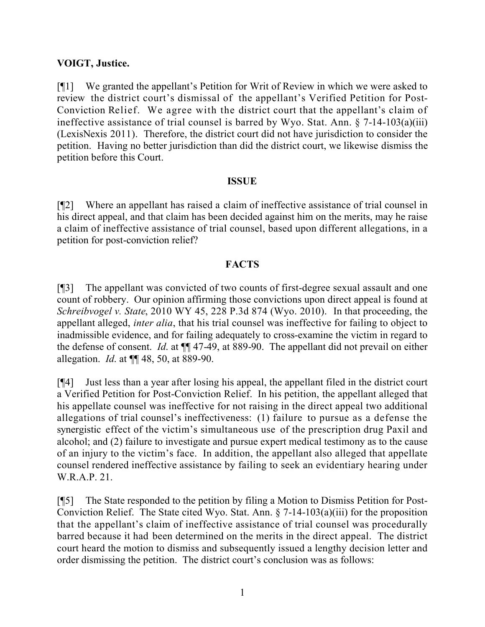## **VOIGT, Justice.**

[¶1] We granted the appellant's Petition for Writ of Review in which we were asked to review the district court's dismissal of the appellant's Verified Petition for Post-Conviction Relief. We agree with the district court that the appellant's claim of ineffective assistance of trial counsel is barred by Wyo. Stat. Ann.  $\S$  7-14-103(a)(iii) (LexisNexis 2011). Therefore, the district court did not have jurisdiction to consider the petition. Having no better jurisdiction than did the district court, we likewise dismiss the petition before this Court.

#### **ISSUE**

[¶2] Where an appellant has raised a claim of ineffective assistance of trial counsel in his direct appeal, and that claim has been decided against him on the merits, may he raise a claim of ineffective assistance of trial counsel, based upon different allegations, in a petition for post-conviction relief?

#### **FACTS**

[¶3] The appellant was convicted of two counts of first-degree sexual assault and one count of robbery. Our opinion affirming those convictions upon direct appeal is found at *Schreibvogel v. State*, 2010 WY 45, 228 P.3d 874 (Wyo. 2010). In that proceeding, the appellant alleged, *inter alia*, that his trial counsel was ineffective for failing to object to inadmissible evidence, and for failing adequately to cross-examine the victim in regard to the defense of consent. *Id*. at ¶¶ 47-49, at 889-90. The appellant did not prevail on either allegation. *Id*. at ¶¶ 48, 50, at 889-90.

[¶4] Just less than a year after losing his appeal, the appellant filed in the district court a Verified Petition for Post-Conviction Relief. In his petition, the appellant alleged that his appellate counsel was ineffective for not raising in the direct appeal two additional allegations of trial counsel's ineffectiveness: (1) failure to pursue as a defense the synergistic effect of the victim's simultaneous use of the prescription drug Paxil and alcohol; and (2) failure to investigate and pursue expert medical testimony as to the cause of an injury to the victim's face. In addition, the appellant also alleged that appellate counsel rendered ineffective assistance by failing to seek an evidentiary hearing under W.R.A.P. 21.

[¶5] The State responded to the petition by filing a Motion to Dismiss Petition for Post-Conviction Relief. The State cited Wyo. Stat. Ann. § 7-14-103(a)(iii) for the proposition that the appellant's claim of ineffective assistance of trial counsel was procedurally barred because it had been determined on the merits in the direct appeal. The district court heard the motion to dismiss and subsequently issued a lengthy decision letter and order dismissing the petition. The district court's conclusion was as follows: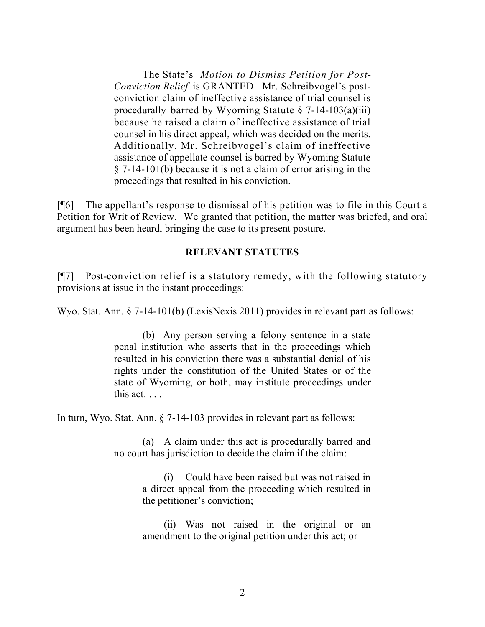The State's *Motion to Dismiss Petition for Post-Conviction Relief* is GRANTED. Mr. Schreibvogel's postconviction claim of ineffective assistance of trial counsel is procedurally barred by Wyoming Statute  $\S$  7-14-103(a)(iii) because he raised a claim of ineffective assistance of trial counsel in his direct appeal, which was decided on the merits. Additionally, Mr. Schreibvogel's claim of ineffective assistance of appellate counsel is barred by Wyoming Statute § 7-14-101(b) because it is not a claim of error arising in the proceedings that resulted in his conviction.

[¶6] The appellant's response to dismissal of his petition was to file in this Court a Petition for Writ of Review. We granted that petition, the matter was briefed, and oral argument has been heard, bringing the case to its present posture.

#### **RELEVANT STATUTES**

[¶7] Post-conviction relief is a statutory remedy, with the following statutory provisions at issue in the instant proceedings:

Wyo. Stat. Ann. § 7-14-101(b) (LexisNexis 2011) provides in relevant part as follows:

(b) Any person serving a felony sentence in a state penal institution who asserts that in the proceedings which resulted in his conviction there was a substantial denial of his rights under the constitution of the United States or of the state of Wyoming, or both, may institute proceedings under this act. . . .

In turn, Wyo. Stat. Ann. § 7-14-103 provides in relevant part as follows:

(a) A claim under this act is procedurally barred and no court has jurisdiction to decide the claim if the claim:

> (i) Could have been raised but was not raised in a direct appeal from the proceeding which resulted in the petitioner's conviction;

> (ii) Was not raised in the original or an amendment to the original petition under this act; or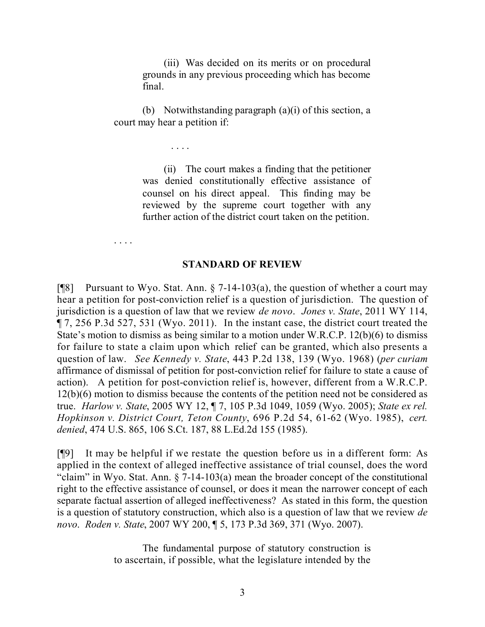(iii) Was decided on its merits or on procedural grounds in any previous proceeding which has become final.

(b) Notwithstanding paragraph (a)(i) of this section, a court may hear a petition if:

. . . .

(ii) The court makes a finding that the petitioner was denied constitutionally effective assistance of counsel on his direct appeal. This finding may be reviewed by the supreme court together with any further action of the district court taken on the petition.

. . . .

#### **STANDARD OF REVIEW**

[ $[$ [8] Pursuant to Wyo. Stat. Ann. § 7-14-103(a), the question of whether a court may hear a petition for post-conviction relief is a question of jurisdiction. The question of jurisdiction is a question of law that we review *de novo*. *Jones v. State*, 2011 WY 114, ¶ 7, 256 P.3d 527, 531 (Wyo. 2011). In the instant case, the district court treated the State's motion to dismiss as being similar to a motion under W.R.C.P. 12(b)(6) to dismiss for failure to state a claim upon which relief can be granted, which also presents a question of law. *See Kennedy v. State*, 443 P.2d 138, 139 (Wyo. 1968) (*per curiam* affirmance of dismissal of petition for post-conviction relief for failure to state a cause of action). A petition for post-conviction relief is, however, different from a W.R.C.P. 12(b)(6) motion to dismiss because the contents of the petition need not be considered as true. *Harlow v. State*, 2005 WY 12, ¶ 7, 105 P.3d 1049, 1059 (Wyo. 2005); *State ex rel. Hopkinson v. District Court, Teton County*, 696 P.2d 54, 61-62 (Wyo. 1985), *cert. denied*, 474 U.S. 865, 106 S.Ct. 187, 88 L.Ed.2d 155 (1985).

[¶9] It may be helpful if we restate the question before us in a different form: As applied in the context of alleged ineffective assistance of trial counsel, does the word "claim" in Wyo. Stat. Ann. § 7-14-103(a) mean the broader concept of the constitutional right to the effective assistance of counsel, or does it mean the narrower concept of each separate factual assertion of alleged ineffectiveness? As stated in this form, the question is a question of statutory construction, which also is a question of law that we review *de novo*. *Roden v. State*, 2007 WY 200, ¶ 5, 173 P.3d 369, 371 (Wyo. 2007).

> The fundamental purpose of statutory construction is to ascertain, if possible, what the legislature intended by the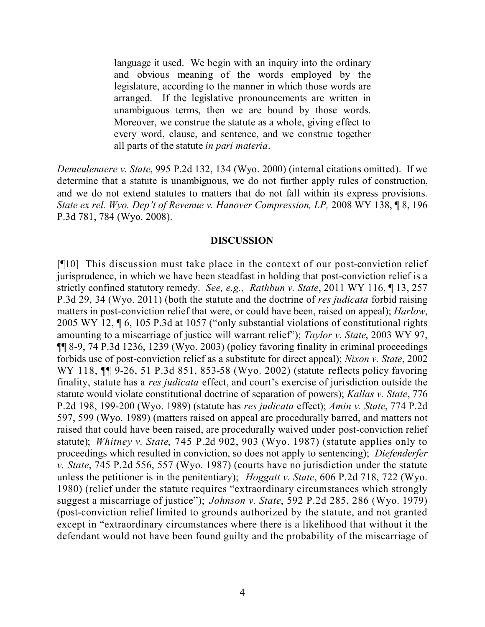language it used. We begin with an inquiry into the ordinary and obvious meaning of the words employed by the legislature, according to the manner in which those words are arranged. If the legislative pronouncements are written in unambiguous terms, then we are bound by those words. Moreover, we construe the statute as a whole, giving effect to every word, clause, and sentence, and we construe together all parts of the statute *in pari materia*.

*Demeulenaere v. State*, 995 P.2d 132, 134 (Wyo. 2000) (internal citations omitted). If we determine that a statute is unambiguous, we do not further apply rules of construction, and we do not extend statutes to matters that do not fall within its express provisions. *State ex rel. Wyo. Dep't of Revenue v. Hanover Compression, LP,* 2008 WY 138, ¶ 8, 196 P.3d 781, 784 (Wyo. 2008).

#### **DISCUSSION**

[¶10] This discussion must take place in the context of our post-conviction relief jurisprudence, in which we have been steadfast in holding that post-conviction relief is a strictly confined statutory remedy. *See, e.g., Rathbun v. State*, 2011 WY 116, ¶ 13, 257 P.3d 29, 34 (Wyo. 2011) (both the statute and the doctrine of *res judicata* forbid raising matters in post-conviction relief that were, or could have been, raised on appeal); *Harlow*, 2005 WY 12, ¶ 6, 105 P.3d at 1057 ("only substantial violations of constitutional rights amounting to a miscarriage of justice will warrant relief"); *Taylor v. State*, 2003 WY 97, ¶¶ 8-9, 74 P.3d 1236, 1239 (Wyo. 2003) (policy favoring finality in criminal proceedings forbids use of post-conviction relief as a substitute for direct appeal); *Nixon v. State*, 2002 WY 118, **¶** 9-26, 51 P.3d 851, 853-58 (Wyo. 2002) (statute reflects policy favoring finality, statute has a *res judicata* effect, and court's exercise of jurisdiction outside the statute would violate constitutional doctrine of separation of powers); *Kallas v. State*, 776 P.2d 198, 199-200 (Wyo. 1989) (statute has *res judicata* effect); *Amin v. State*, 774 P.2d 597, 599 (Wyo. 1989) (matters raised on appeal are procedurally barred, and matters not raised that could have been raised, are procedurally waived under post-conviction relief statute); *Whitney v. State*, 745 P.2d 902, 903 (Wyo. 1987) (statute applies only to proceedings which resulted in conviction, so does not apply to sentencing); *Diefenderfer v. State*, 745 P.2d 556, 557 (Wyo. 1987) (courts have no jurisdiction under the statute unless the petitioner is in the penitentiary); *Hoggatt v. State*, 606 P.2d 718, 722 (Wyo. 1980) (relief under the statute requires "extraordinary circumstances which strongly suggest a miscarriage of justice"); *Johnson v. State*, 592 P.2d 285, 286 (Wyo. 1979) (post-conviction relief limited to grounds authorized by the statute, and not granted except in "extraordinary circumstances where there is a likelihood that without it the defendant would not have been found guilty and the probability of the miscarriage of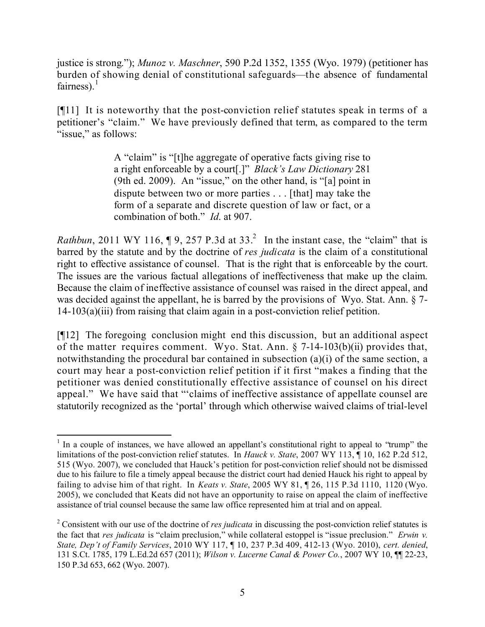justice is strong."); *Munoz v. Maschner*, 590 P.2d 1352, 1355 (Wyo. 1979) (petitioner has burden of showing denial of constitutional safeguards—the absence of fundamental fairness). $<sup>1</sup>$ </sup>

[¶11] It is noteworthy that the post-conviction relief statutes speak in terms of a petitioner's "claim." We have previously defined that term, as compared to the term "issue," as follows:

> A "claim" is "[t]he aggregate of operative facts giving rise to a right enforceable by a court[.]" *Black's Law Dictionary* 281 (9th ed. 2009). An "issue," on the other hand, is "[a] point in dispute between two or more parties . . . [that] may take the form of a separate and discrete question of law or fact, or a combination of both." *Id*. at 907.

*Rathbun*, 2011 WY 116,  $\P$  9, 257 P.3d at 33.<sup>2</sup> In the instant case, the "claim" that is barred by the statute and by the doctrine of *res judicata* is the claim of a constitutional right to effective assistance of counsel. That is the right that is enforceable by the court. The issues are the various factual allegations of ineffectiveness that make up the claim. Because the claim of ineffective assistance of counsel was raised in the direct appeal, and was decided against the appellant, he is barred by the provisions of Wyo. Stat. Ann. § 7- 14-103(a)(iii) from raising that claim again in a post-conviction relief petition.

[¶12] The foregoing conclusion might end this discussion, but an additional aspect of the matter requires comment. Wyo. Stat. Ann. § 7-14-103(b)(ii) provides that, notwithstanding the procedural bar contained in subsection (a)(i) of the same section, a court may hear a post-conviction relief petition if it first "makes a finding that the petitioner was denied constitutionally effective assistance of counsel on his direct appeal." We have said that "'claims of ineffective assistance of appellate counsel are statutorily recognized as the 'portal' through which otherwise waived claims of trial-level

  $<sup>1</sup>$  In a couple of instances, we have allowed an appellant's constitutional right to appeal to "trump" the</sup> limitations of the post-conviction relief statutes. In *Hauck v. State*, 2007 WY 113, ¶ 10, 162 P.2d 512, 515 (Wyo. 2007), we concluded that Hauck's petition for post-conviction relief should not be dismissed due to his failure to file a timely appeal because the district court had denied Hauck his right to appeal by failing to advise him of that right. In *Keats v. State*, 2005 WY 81, ¶ 26, 115 P.3d 1110, 1120 (Wyo. 2005), we concluded that Keats did not have an opportunity to raise on appeal the claim of ineffective assistance of trial counsel because the same law office represented him at trial and on appeal.

<sup>2</sup> Consistent with our use of the doctrine of *res judicata* in discussing the post-conviction relief statutes is the fact that *res judicata* is "claim preclusion," while collateral estoppel is "issue preclusion." *Erwin v. State, Dep't of Family Services*, 2010 WY 117, ¶ 10, 237 P.3d 409, 412-13 (Wyo. 2010), *cert. denied*, 131 S.Ct. 1785, 179 L.Ed.2d 657 (2011); *Wilson v. Lucerne Canal & Power Co.*, 2007 WY 10, ¶¶ 22-23, 150 P.3d 653, 662 (Wyo. 2007).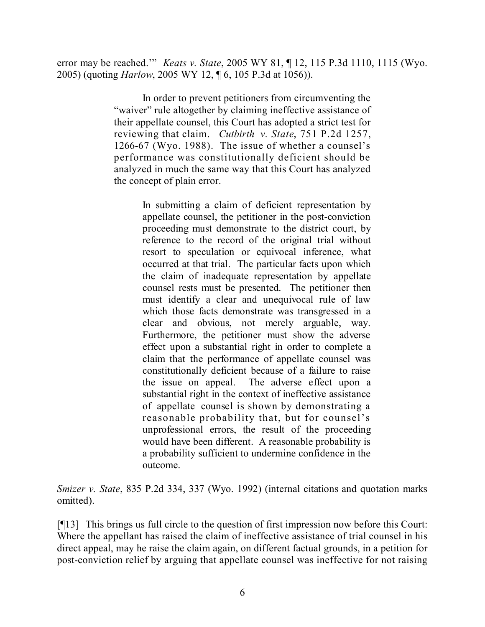error may be reached.'" *Keats v. State*, 2005 WY 81, ¶ 12, 115 P.3d 1110, 1115 (Wyo. 2005) (quoting *Harlow*, 2005 WY 12, ¶ 6, 105 P.3d at 1056)).

> In order to prevent petitioners from circumventing the "waiver" rule altogether by claiming ineffective assistance of their appellate counsel, this Court has adopted a strict test for reviewing that claim. *Cutbirth v. State*, 751 P.2d 1257, 1266-67 (Wyo. 1988). The issue of whether a counsel's performance was constitutionally deficient should be analyzed in much the same way that this Court has analyzed the concept of plain error.

> > In submitting a claim of deficient representation by appellate counsel, the petitioner in the post-conviction proceeding must demonstrate to the district court, by reference to the record of the original trial without resort to speculation or equivocal inference, what occurred at that trial. The particular facts upon which the claim of inadequate representation by appellate counsel rests must be presented. The petitioner then must identify a clear and unequivocal rule of law which those facts demonstrate was transgressed in a clear and obvious, not merely arguable, way. Furthermore, the petitioner must show the adverse effect upon a substantial right in order to complete a claim that the performance of appellate counsel was constitutionally deficient because of a failure to raise the issue on appeal. The adverse effect upon a substantial right in the context of ineffective assistance of appellate counsel is shown by demonstrating a reasonable probability that, but for counsel's unprofessional errors, the result of the proceeding would have been different. A reasonable probability is a probability sufficient to undermine confidence in the outcome.

*Smizer v. State*, 835 P.2d 334, 337 (Wyo. 1992) (internal citations and quotation marks omitted).

[¶13] This brings us full circle to the question of first impression now before this Court: Where the appellant has raised the claim of ineffective assistance of trial counsel in his direct appeal, may he raise the claim again, on different factual grounds, in a petition for post-conviction relief by arguing that appellate counsel was ineffective for not raising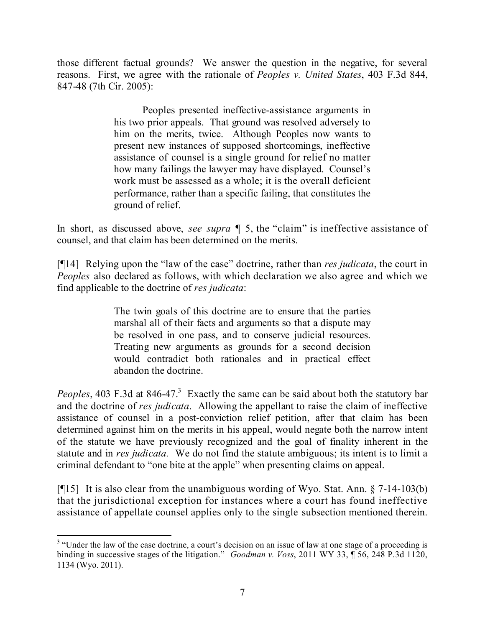those different factual grounds? We answer the question in the negative, for several reasons. First, we agree with the rationale of *Peoples v. United States*, 403 F.3d 844, 847-48 (7th Cir. 2005):

> Peoples presented ineffective-assistance arguments in his two prior appeals. That ground was resolved adversely to him on the merits, twice. Although Peoples now wants to present new instances of supposed shortcomings, ineffective assistance of counsel is a single ground for relief no matter how many failings the lawyer may have displayed. Counsel's work must be assessed as a whole; it is the overall deficient performance, rather than a specific failing, that constitutes the ground of relief.

In short, as discussed above, *see supra* ¶ 5, the "claim" is ineffective assistance of counsel, and that claim has been determined on the merits.

[¶14] Relying upon the "law of the case" doctrine, rather than *res judicata*, the court in *Peoples* also declared as follows, with which declaration we also agree and which we find applicable to the doctrine of *res judicata*:

> The twin goals of this doctrine are to ensure that the parties marshal all of their facts and arguments so that a dispute may be resolved in one pass, and to conserve judicial resources. Treating new arguments as grounds for a second decision would contradict both rationales and in practical effect abandon the doctrine.

Peoples, 403 F.3d at 846-47.<sup>3</sup> Exactly the same can be said about both the statutory bar and the doctrine of *res judicata*. Allowing the appellant to raise the claim of ineffective assistance of counsel in a post-conviction relief petition, after that claim has been determined against him on the merits in his appeal, would negate both the narrow intent of the statute we have previously recognized and the goal of finality inherent in the statute and in *res judicata.* We do not find the statute ambiguous; its intent is to limit a criminal defendant to "one bite at the apple" when presenting claims on appeal.

[¶15] It is also clear from the unambiguous wording of Wyo. Stat. Ann. § 7-14-103(b) that the jurisdictional exception for instances where a court has found ineffective assistance of appellate counsel applies only to the single subsection mentioned therein.

 <sup>3</sup> "Under the law of the case doctrine, a court's decision on an issue of law at one stage of a proceeding is binding in successive stages of the litigation." *Goodman v. Voss*, 2011 WY 33, ¶ 56, 248 P.3d 1120, 1134 (Wyo. 2011).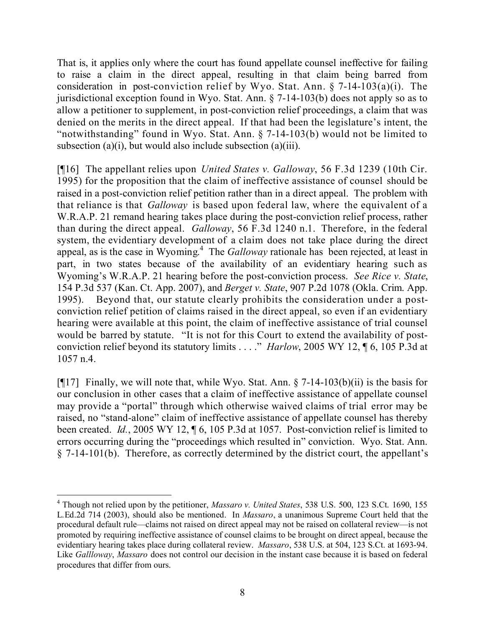That is, it applies only where the court has found appellate counsel ineffective for failing to raise a claim in the direct appeal, resulting in that claim being barred from consideration in post-conviction relief by Wyo. Stat. Ann.  $\S$  7-14-103(a)(i). The jurisdictional exception found in Wyo. Stat. Ann. § 7-14-103(b) does not apply so as to allow a petitioner to supplement, in post-conviction relief proceedings, a claim that was denied on the merits in the direct appeal. If that had been the legislature's intent, the "notwithstanding" found in Wyo. Stat. Ann. § 7-14-103(b) would not be limited to subsection (a)(i), but would also include subsection (a)(iii).

[¶16] The appellant relies upon *United States v. Galloway*, 56 F.3d 1239 (10th Cir. 1995) for the proposition that the claim of ineffective assistance of counsel should be raised in a post-conviction relief petition rather than in a direct appeal. The problem with that reliance is that *Galloway* is based upon federal law, where the equivalent of a W.R.A.P. 21 remand hearing takes place during the post-conviction relief process, rather than during the direct appeal. *Galloway*, 56 F.3d 1240 n.1. Therefore, in the federal system, the evidentiary development of a claim does not take place during the direct appeal, as is the case in Wyoming. 4 The *Galloway* rationale has been rejected, at least in part, in two states because of the availability of an evidentiary hearing such as Wyoming's W.R.A.P. 21 hearing before the post-conviction process. *See Rice v. State*, 154 P.3d 537 (Kan. Ct. App. 2007), and *Berget v. State*, 907 P.2d 1078 (Okla. Crim. App. 1995). Beyond that, our statute clearly prohibits the consideration under a postconviction relief petition of claims raised in the direct appeal, so even if an evidentiary hearing were available at this point, the claim of ineffective assistance of trial counsel would be barred by statute. "It is not for this Court to extend the availability of postconviction relief beyond its statutory limits . . . ." *Harlow*, 2005 WY 12, ¶ 6, 105 P.3d at 1057 n.4.

[ $[17]$ ] Finally, we will note that, while Wyo. Stat. Ann. § 7-14-103(b)(ii) is the basis for our conclusion in other cases that a claim of ineffective assistance of appellate counsel may provide a "portal" through which otherwise waived claims of trial error may be raised, no "stand-alone" claim of ineffective assistance of appellate counsel has thereby been created. *Id.*, 2005 WY 12, ¶ 6, 105 P.3d at 1057. Post-conviction relief is limited to errors occurring during the "proceedings which resulted in" conviction. Wyo. Stat. Ann. § 7-14-101(b). Therefore, as correctly determined by the district court, the appellant's

<sup>4</sup> Though not relied upon by the petitioner, *Massaro v. United States*, 538 U.S. 500, 123 S.Ct. 1690, 155 L.Ed.2d 714 (2003), should also be mentioned. In *Massaro*, a unanimous Supreme Court held that the procedural default rule—claims not raised on direct appeal may not be raised on collateral review—is not promoted by requiring ineffective assistance of counsel claims to be brought on direct appeal, because the evidentiary hearing takes place during collateral review. *Massaro*, 538 U.S. at 504, 123 S.Ct. at 1693-94. Like *Gallloway*, *Massaro* does not control our decision in the instant case because it is based on federal procedures that differ from ours.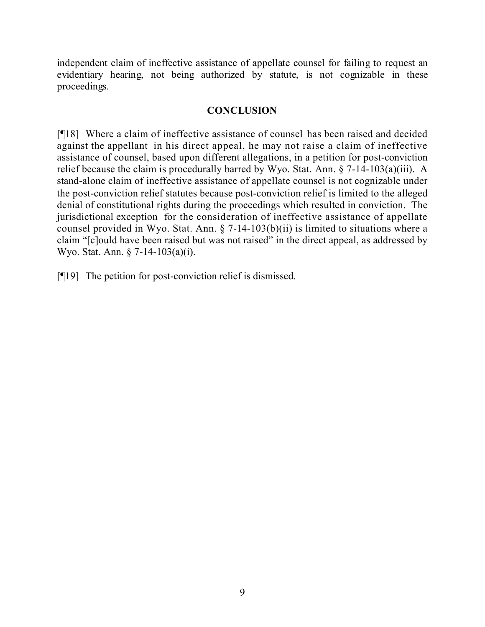independent claim of ineffective assistance of appellate counsel for failing to request an evidentiary hearing, not being authorized by statute, is not cognizable in these proceedings.

## **CONCLUSION**

[¶18] Where a claim of ineffective assistance of counsel has been raised and decided against the appellant in his direct appeal, he may not raise a claim of ineffective assistance of counsel, based upon different allegations, in a petition for post-conviction relief because the claim is procedurally barred by Wyo. Stat. Ann. § 7-14-103(a)(iii). A stand-alone claim of ineffective assistance of appellate counsel is not cognizable under the post-conviction relief statutes because post-conviction relief is limited to the alleged denial of constitutional rights during the proceedings which resulted in conviction. The jurisdictional exception for the consideration of ineffective assistance of appellate counsel provided in Wyo. Stat. Ann. § 7-14-103(b)(ii) is limited to situations where a claim "[c]ould have been raised but was not raised" in the direct appeal, as addressed by Wyo. Stat. Ann. § 7-14-103(a)(i).

[¶19] The petition for post-conviction relief is dismissed.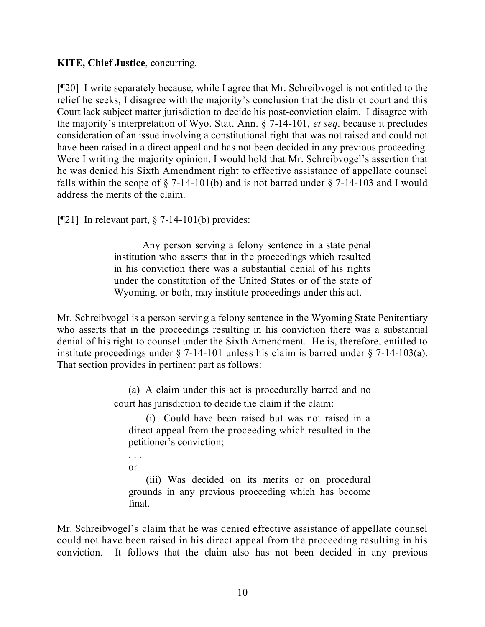## **KITE, Chief Justice**, concurring.

[¶20] I write separately because, while I agree that Mr. Schreibvogel is not entitled to the relief he seeks, I disagree with the majority's conclusion that the district court and this Court lack subject matter jurisdiction to decide his post-conviction claim. I disagree with the majority's interpretation of Wyo. Stat. Ann. § 7-14-101, *et seq*. because it precludes consideration of an issue involving a constitutional right that was not raised and could not have been raised in a direct appeal and has not been decided in any previous proceeding. Were I writing the majority opinion, I would hold that Mr. Schreibvogel's assertion that he was denied his Sixth Amendment right to effective assistance of appellate counsel falls within the scope of  $\S$  7-14-101(b) and is not barred under  $\S$  7-14-103 and I would address the merits of the claim.

 $\lceil \P{21} \rceil$  In relevant part, § 7-14-101(b) provides:

Any person serving a felony sentence in a state penal institution who asserts that in the proceedings which resulted in his conviction there was a substantial denial of his rights under the constitution of the United States or of the state of Wyoming, or both, may institute proceedings under this act.

Mr. Schreibvogel is a person serving a felony sentence in the Wyoming State Penitentiary who asserts that in the proceedings resulting in his conviction there was a substantial denial of his right to counsel under the Sixth Amendment. He is, therefore, entitled to institute proceedings under § 7-14-101 unless his claim is barred under § 7-14-103(a). That section provides in pertinent part as follows:

> (a) A claim under this act is procedurally barred and no court has jurisdiction to decide the claim if the claim:

(i) Could have been raised but was not raised in a direct appeal from the proceeding which resulted in the petitioner's conviction;

. . . or

(iii) Was decided on its merits or on procedural grounds in any previous proceeding which has become final.

Mr. Schreibvogel's claim that he was denied effective assistance of appellate counsel could not have been raised in his direct appeal from the proceeding resulting in his conviction. It follows that the claim also has not been decided in any previous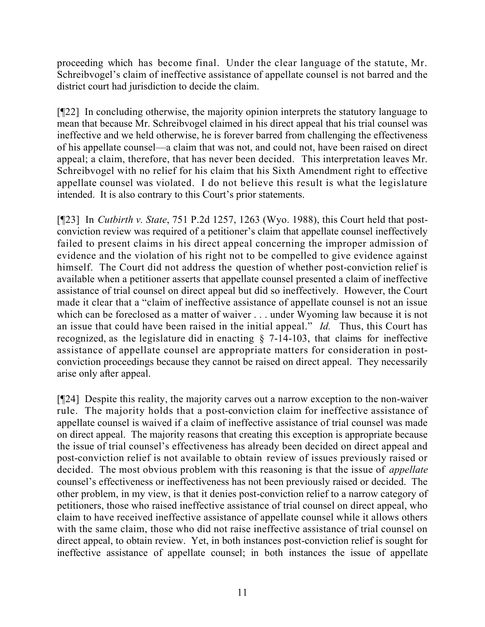proceeding which has become final. Under the clear language of the statute, Mr. Schreibvogel's claim of ineffective assistance of appellate counsel is not barred and the district court had jurisdiction to decide the claim.

[¶22] In concluding otherwise, the majority opinion interprets the statutory language to mean that because Mr. Schreibvogel claimed in his direct appeal that his trial counsel was ineffective and we held otherwise, he is forever barred from challenging the effectiveness of his appellate counsel—a claim that was not, and could not, have been raised on direct appeal; a claim, therefore, that has never been decided. This interpretation leaves Mr. Schreibvogel with no relief for his claim that his Sixth Amendment right to effective appellate counsel was violated. I do not believe this result is what the legislature intended. It is also contrary to this Court's prior statements.

[¶23] In *Cutbirth v. State*, 751 P.2d 1257, 1263 (Wyo. 1988), this Court held that postconviction review was required of a petitioner's claim that appellate counsel ineffectively failed to present claims in his direct appeal concerning the improper admission of evidence and the violation of his right not to be compelled to give evidence against himself. The Court did not address the question of whether post-conviction relief is available when a petitioner asserts that appellate counsel presented a claim of ineffective assistance of trial counsel on direct appeal but did so ineffectively. However, the Court made it clear that a "claim of ineffective assistance of appellate counsel is not an issue which can be foreclosed as a matter of waiver . . . under Wyoming law because it is not an issue that could have been raised in the initial appeal." *Id.* Thus, this Court has recognized, as the legislature did in enacting § 7-14-103, that claims for ineffective assistance of appellate counsel are appropriate matters for consideration in postconviction proceedings because they cannot be raised on direct appeal. They necessarily arise only after appeal.

[¶24] Despite this reality, the majority carves out a narrow exception to the non-waiver rule. The majority holds that a post-conviction claim for ineffective assistance of appellate counsel is waived if a claim of ineffective assistance of trial counsel was made on direct appeal. The majority reasons that creating this exception is appropriate because the issue of trial counsel's effectiveness has already been decided on direct appeal and post-conviction relief is not available to obtain review of issues previously raised or decided. The most obvious problem with this reasoning is that the issue of *appellate* counsel's effectiveness or ineffectiveness has not been previously raised or decided. The other problem, in my view, is that it denies post-conviction relief to a narrow category of petitioners, those who raised ineffective assistance of trial counsel on direct appeal, who claim to have received ineffective assistance of appellate counsel while it allows others with the same claim, those who did not raise ineffective assistance of trial counsel on direct appeal, to obtain review. Yet, in both instances post-conviction relief is sought for ineffective assistance of appellate counsel; in both instances the issue of appellate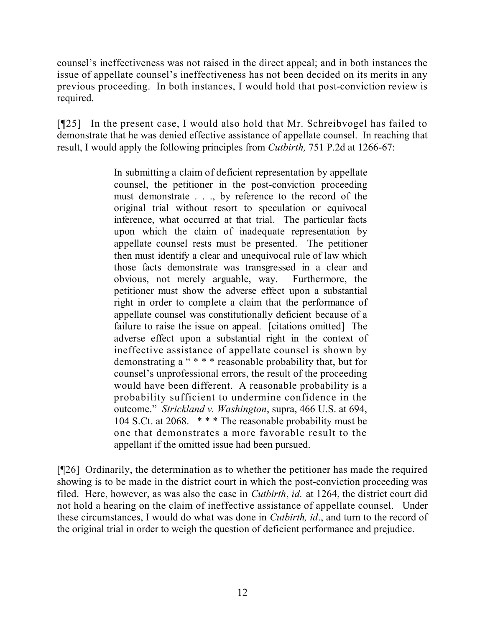counsel's ineffectiveness was not raised in the direct appeal; and in both instances the issue of appellate counsel's ineffectiveness has not been decided on its merits in any previous proceeding. In both instances, I would hold that post-conviction review is required.

[¶25] In the present case, I would also hold that Mr. Schreibvogel has failed to demonstrate that he was denied effective assistance of appellate counsel. In reaching that result, I would apply the following principles from *Cutbirth,* 751 P.2d at 1266-67:

> In submitting a claim of deficient representation by appellate counsel, the petitioner in the post-conviction proceeding must demonstrate . . ., by reference to the record of the original trial without resort to speculation or equivocal inference, what occurred at that trial. The particular facts upon which the claim of inadequate representation by appellate counsel rests must be presented. The petitioner then must identify a clear and unequivocal rule of law which those facts demonstrate was transgressed in a clear and obvious, not merely arguable, way. Furthermore, the petitioner must show the adverse effect upon a substantial right in order to complete a claim that the performance of appellate counsel was constitutionally deficient because of a failure to raise the issue on appeal. [citations omitted] The adverse effect upon a substantial right in the context of ineffective assistance of appellate counsel is shown by demonstrating a " \* \* \* reasonable probability that, but for counsel's unprofessional errors, the result of the proceeding would have been different. A reasonable probability is a probability sufficient to undermine confidence in the outcome." *Strickland v. Washington*, supra, 466 U.S. at 694, 104 S.Ct. at 2068. \* \* \* The reasonable probability must be one that demonstrates a more favorable result to the appellant if the omitted issue had been pursued.

[¶26] Ordinarily, the determination as to whether the petitioner has made the required showing is to be made in the district court in which the post-conviction proceeding was filed. Here, however, as was also the case in *Cutbirth*, *id.* at 1264, the district court did not hold a hearing on the claim of ineffective assistance of appellate counsel. Under these circumstances, I would do what was done in *Cutbirth, id*., and turn to the record of the original trial in order to weigh the question of deficient performance and prejudice.